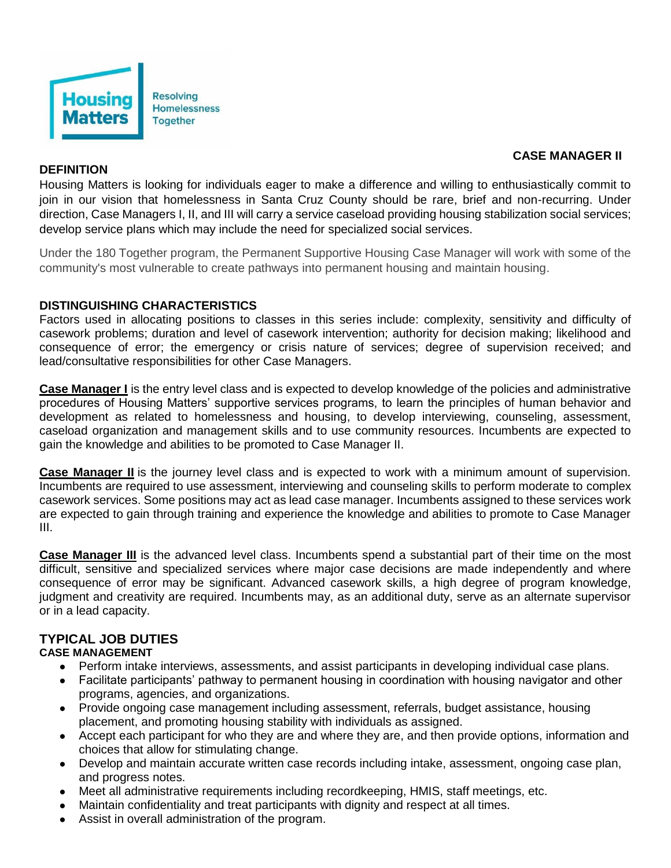

### **CASE MANAGER II**

### **DEFINITION**

Housing Matters is looking for individuals eager to make a difference and willing to enthusiastically commit to join in our vision that homelessness in Santa Cruz County should be rare, brief and non-recurring. Under direction, Case Managers I, II, and III will carry a service caseload providing housing stabilization social services; develop service plans which may include the need for specialized social services.

Under the 180 Together program, the Permanent Supportive Housing Case Manager will work with some of the community's most vulnerable to create pathways into permanent housing and maintain housing.

#### **DISTINGUISHING CHARACTERISTICS**

Factors used in allocating positions to classes in this series include: complexity, sensitivity and difficulty of casework problems; duration and level of casework intervention; authority for decision making; likelihood and consequence of error; the emergency or crisis nature of services; degree of supervision received; and lead/consultative responsibilities for other Case Managers.

**Case Manager I** is the entry level class and is expected to develop knowledge of the policies and administrative procedures of Housing Matters' supportive services programs, to learn the principles of human behavior and development as related to homelessness and housing, to develop interviewing, counseling, assessment, caseload organization and management skills and to use community resources. Incumbents are expected to gain the knowledge and abilities to be promoted to Case Manager II.

**Case Manager II** is the journey level class and is expected to work with a minimum amount of supervision. Incumbents are required to use assessment, interviewing and counseling skills to perform moderate to complex casework services. Some positions may act as lead case manager. Incumbents assigned to these services work are expected to gain through training and experience the knowledge and abilities to promote to Case Manager III.

**Case Manager III** is the advanced level class. Incumbents spend a substantial part of their time on the most difficult, sensitive and specialized services where major case decisions are made independently and where consequence of error may be significant. Advanced casework skills, a high degree of program knowledge, judgment and creativity are required. Incumbents may, as an additional duty, serve as an alternate supervisor or in a lead capacity.

# **TYPICAL JOB DUTIES**

#### **CASE MANAGEMENT**

- Perform intake interviews, assessments, and assist participants in developing individual case plans.
- Facilitate participants' pathway to permanent housing in coordination with housing navigator and other programs, agencies, and organizations.
- Provide ongoing case management including assessment, referrals, budget assistance, housing placement, and promoting housing stability with individuals as assigned.
- Accept each participant for who they are and where they are, and then provide options, information and choices that allow for stimulating change.
- Develop and maintain accurate written case records including intake, assessment, ongoing case plan, and progress notes.
- Meet all administrative requirements including recordkeeping, HMIS, staff meetings, etc.
- Maintain confidentiality and treat participants with dignity and respect at all times.
- Assist in overall administration of the program.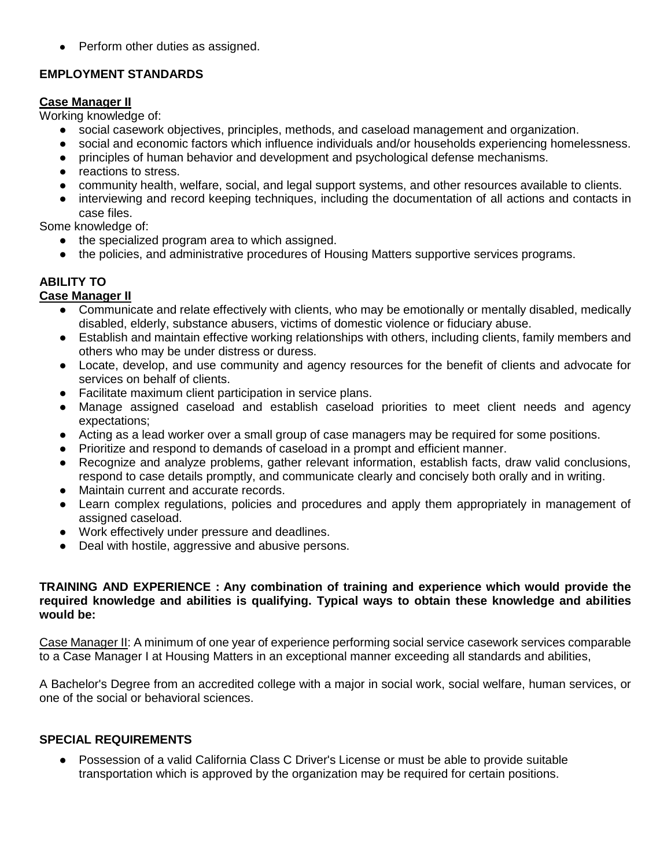• Perform other duties as assigned.

### **EMPLOYMENT STANDARDS**

### **Case Manager II**

Working knowledge of:

- social casework objectives, principles, methods, and caseload management and organization.
- social and economic factors which influence individuals and/or households experiencing homelessness.
- principles of human behavior and development and psychological defense mechanisms.
- reactions to stress.
- community health, welfare, social, and legal support systems, and other resources available to clients.
- interviewing and record keeping techniques, including the documentation of all actions and contacts in case files.

Some knowledge of:

- the specialized program area to which assigned.
- the policies, and administrative procedures of Housing Matters supportive services programs.

# **ABILITY TO**

# **Case Manager II**

- Communicate and relate effectively with clients, who may be emotionally or mentally disabled, medically disabled, elderly, substance abusers, victims of domestic violence or fiduciary abuse.
- Establish and maintain effective working relationships with others, including clients, family members and others who may be under distress or duress.
- Locate, develop, and use community and agency resources for the benefit of clients and advocate for services on behalf of clients.
- Facilitate maximum client participation in service plans.
- Manage assigned caseload and establish caseload priorities to meet client needs and agency expectations;
- Acting as a lead worker over a small group of case managers may be required for some positions.
- Prioritize and respond to demands of caseload in a prompt and efficient manner.
- Recognize and analyze problems, gather relevant information, establish facts, draw valid conclusions, respond to case details promptly, and communicate clearly and concisely both orally and in writing.
- Maintain current and accurate records.
- Learn complex regulations, policies and procedures and apply them appropriately in management of assigned caseload.
- Work effectively under pressure and deadlines.
- Deal with hostile, aggressive and abusive persons.

#### **TRAINING AND EXPERIENCE : Any combination of training and experience which would provide the required knowledge and abilities is qualifying. Typical ways to obtain these knowledge and abilities would be:**

Case Manager II: A minimum of one year of experience performing social service casework services comparable to a Case Manager I at Housing Matters in an exceptional manner exceeding all standards and abilities,

A Bachelor's Degree from an accredited college with a major in social work, social welfare, human services, or one of the social or behavioral sciences.

## **SPECIAL REQUIREMENTS**

● Possession of a valid California Class C Driver's License or must be able to provide suitable transportation which is approved by the organization may be required for certain positions.